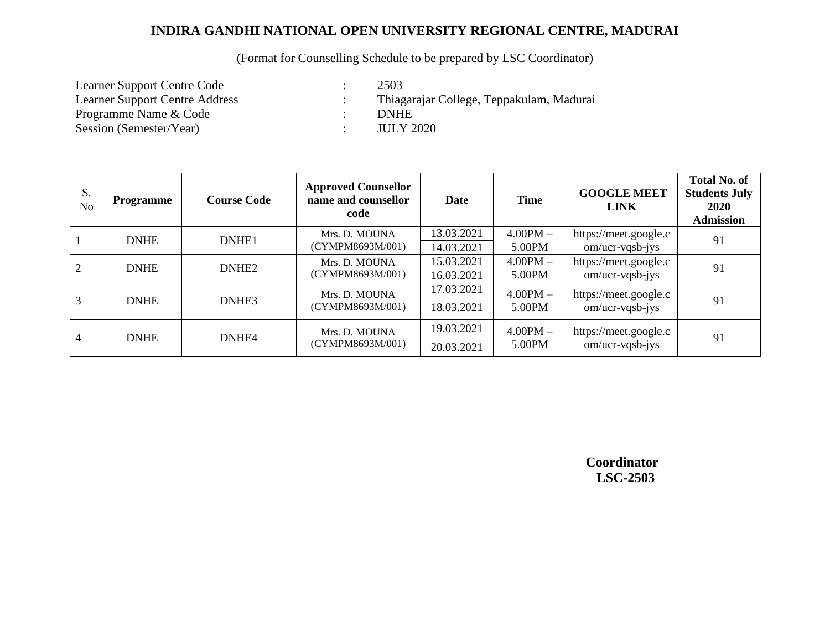#### (Format for Counselling Schedule to be prepared by LSC Coordinator)

Learner Support Centre Code : 2503<br>Learner Support Centre Address : Thiag Programme Name & Code : Session (Semester/Year) : JULY 2020

: Thiagarajar College, Teppakulam, Madurai<br>: DNHE

| S.<br>N <sub>o</sub> | <b>Programme</b>     | <b>Course Code</b> | <b>Approved Counsellor</b><br>name and counsellor<br>code | Date       | <b>Time</b>          | <b>GOOGLE MEET</b><br><b>LINK</b>              | <b>Total No. of</b><br><b>Students July</b><br>2020<br><b>Admission</b> |
|----------------------|----------------------|--------------------|-----------------------------------------------------------|------------|----------------------|------------------------------------------------|-------------------------------------------------------------------------|
|                      | DNHE1<br><b>DNHE</b> |                    | Mrs. D. MOUNA                                             | 13.03.2021 | $4.00\text{PM} -$    | https://meet.google.c                          | 91                                                                      |
|                      |                      |                    | (CYMPM8693M/001)                                          | 14.03.2021 | 5.00PM               | $om/ucr\neg vqsb-iys$                          |                                                                         |
| 2                    | <b>DNHE</b>          | DNHE <sub>2</sub>  | Mrs. D. MOUNA<br>(CYMPM8693M/001)                         | 15.03.2021 | $4.00$ PM $-$        | https://meet.google.c                          | 91                                                                      |
|                      |                      |                    |                                                           | 16.03.2021 | 5.00PM               | $om/ucr\neg vqsb-jys$                          |                                                                         |
| 3                    | <b>DNHE</b>          | DNHE3              | Mrs. D. MOUNA<br>(CYMPM8693M/001)                         | 17.03.2021 | $4.00$ PM $-$        | https://meet.google.c                          |                                                                         |
|                      |                      |                    |                                                           | 18.03.2021 | 5.00PM               | $om/ucr\neg vqsb-iys$                          | 91                                                                      |
| $\overline{4}$       | <b>DNHE</b>          | DNHE4              | Mrs. D. MOUNA<br>(CYMPM8693M/001)                         | 19.03.2021 | $4.00PM -$<br>5.00PM | https://meet.google.c<br>$om/ucr\neg vqsb-jys$ | 91                                                                      |
|                      |                      |                    |                                                           | 20.03.2021 |                      |                                                |                                                                         |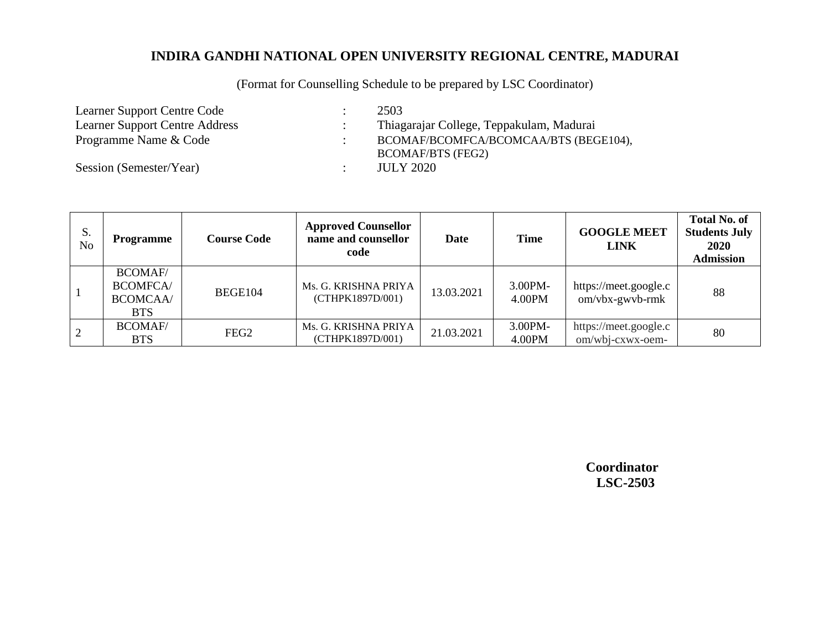(Format for Counselling Schedule to be prepared by LSC Coordinator)

Learner Support Centre Code : 2503<br>Learner Support Centre Address : Thiag

Session (Semester/Year) :

: Thiagarajar College, Teppakulam, Madurai Programme Name & Code : BCOMAF/BCOMFCA/BCOMCAA/BTS (BEGE104), BCOMAF/BTS (FEG2)<br>JULY 2020

| S.<br>N <sub>0</sub> | <b>Programme</b>                                                     | <b>Course Code</b> | <b>Approved Counsellor</b><br>name and counsellor<br>code | Date       | <b>Time</b>       | <b>GOOGLE MEET</b><br><b>LINK</b>         | <b>Total No. of</b><br><b>Students July</b><br>2020<br><b>Admission</b> |
|----------------------|----------------------------------------------------------------------|--------------------|-----------------------------------------------------------|------------|-------------------|-------------------------------------------|-------------------------------------------------------------------------|
|                      | <b>BCOMAF/</b><br><b>BCOMFCA</b> /<br><b>BCOMCAA</b> /<br><b>BTS</b> | BEGE104            | Ms. G. KRISHNA PRIYA<br>(CTHPK1897D/001)                  | 13.03.2021 | 3.00PM-<br>4.00PM | https://meet.google.c<br>om/vbx-gwvb-rmk  | 88                                                                      |
| 2                    | <b>BCOMAF/</b><br><b>BTS</b>                                         | FEG <sub>2</sub>   | Ms. G. KRISHNA PRIYA<br>(CTHPK1897D/001)                  | 21.03.2021 | 3.00PM-<br>4.00PM | https://meet.google.c<br>om/wbj-cxwx-oem- | 80                                                                      |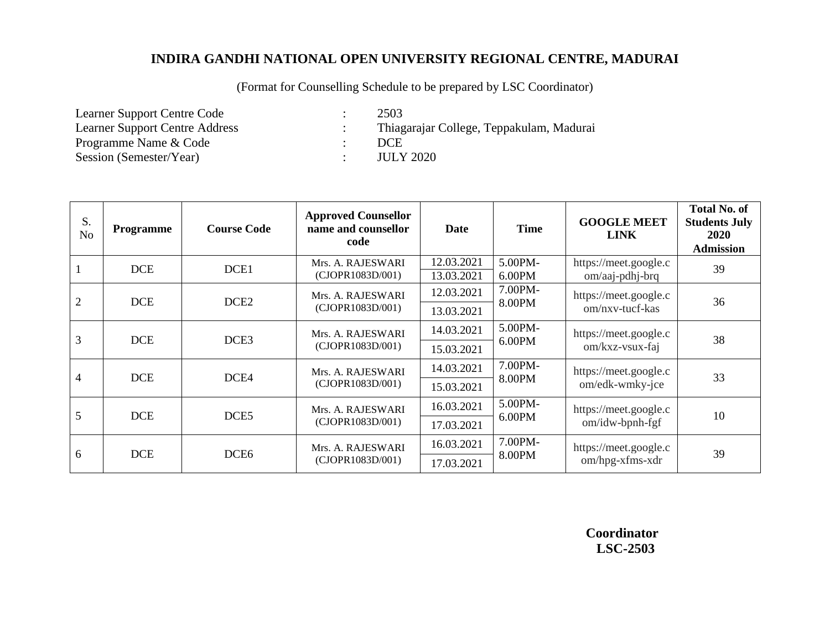(Format for Counselling Schedule to be prepared by LSC Coordinator)

Learner Support Centre Code : 2503<br>Learner Support Centre Address : Thiag Programme Name & Code : Session (Semester/Year) : JULY 2020

: Thiagarajar College, Teppakulam, Madurai<br>: DCE

| S.<br>N <sub>o</sub> | <b>Programme</b>               | <b>Course Code</b> | <b>Approved Counsellor</b><br>name and counsellor<br>code | <b>Date</b>              | <b>Time</b>          | <b>GOOGLE MEET</b><br><b>LINK</b>           | <b>Total No. of</b><br><b>Students July</b><br><b>2020</b><br><b>Admission</b> |
|----------------------|--------------------------------|--------------------|-----------------------------------------------------------|--------------------------|----------------------|---------------------------------------------|--------------------------------------------------------------------------------|
| $\mathbf{1}$         | <b>DCE</b>                     | DCE1               | Mrs. A. RAJESWARI<br>(CJOPR1083D/001)                     | 12.03.2021<br>13.03.2021 | 5.00PM-<br>$6.00$ PM | https://meet.google.c<br>$om/aaj$ -pdhj-brq | 39                                                                             |
| $\overline{2}$       |                                |                    | Mrs. A. RAJESWARI                                         | 12.03.2021               | 7.00PM-<br>8.00PM    | https://meet.google.c<br>om/nxv-tucf-kas    | 36                                                                             |
|                      | <b>DCE</b><br>DCE <sub>2</sub> |                    | (CJOPR1083D/001)                                          | 13.03.2021               |                      |                                             |                                                                                |
| 3                    | <b>DCE</b>                     | DCE <sub>3</sub>   | Mrs. A. RAJESWARI<br>(CJOPR1083D/001)                     | 14.03.2021               | 5.00PM-<br>$6.00$ PM | https://meet.google.c<br>om/kxz-vsux-faj    | 38                                                                             |
|                      |                                |                    |                                                           | 15.03.2021               |                      |                                             |                                                                                |
| $\overline{4}$       | <b>DCE</b>                     | DCE4               | Mrs. A. RAJESWARI                                         | 14.03.2021               | 7.00PM-              | https://meet.google.c                       | 33                                                                             |
|                      |                                |                    | (CJOPR1083D/001)                                          | 15.03.2021               | 8.00PM               | om/edk-wmky-jce                             |                                                                                |
| 5                    | <b>DCE</b>                     | DCE <sub>5</sub>   | Mrs. A. RAJESWARI<br>(CJOPR1083D/001)                     | 16.03.2021               | 5.00PM-<br>6.00PM    | https://meet.google.c<br>om/idw-bpnh-fgf    | 10                                                                             |
|                      |                                |                    |                                                           | 17.03.2021               |                      |                                             |                                                                                |
| 6                    | <b>DCE</b>                     | DCE <sub>6</sub>   | Mrs. A. RAJESWARI<br>(CJOPR1083D/001)                     | 16.03.2021               | 7.00PM-<br>8.00PM    | https://meet.google.c<br>om/hpg-xfms-xdr    | 39                                                                             |
|                      |                                |                    |                                                           | 17.03.2021               |                      |                                             |                                                                                |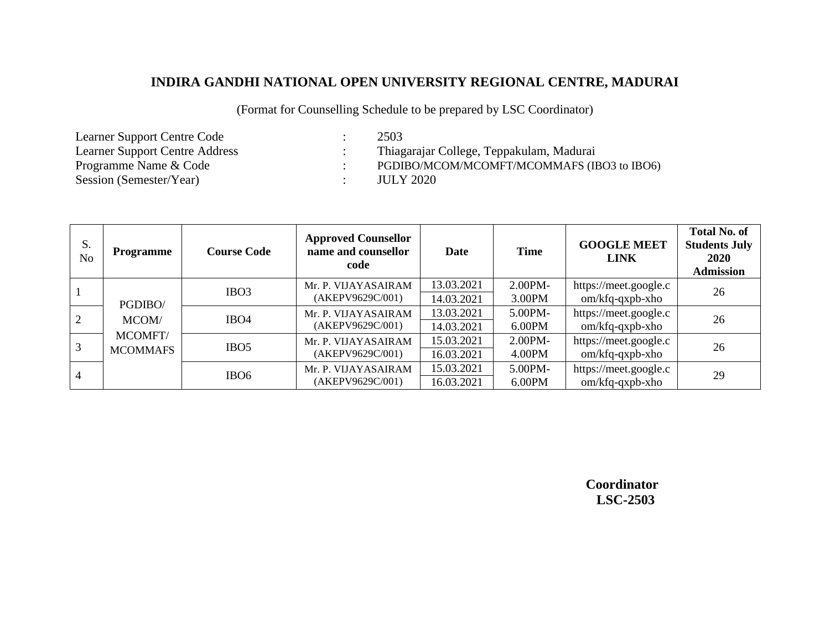(Format for Counselling Schedule to be prepared by LSC Coordinator)

Learner Support Centre Code : 2503<br>Learner Support Centre Address : Thiag Learner Support Centre Address : Thiagarajar College, Teppakulam, Madurai<br>
Programme Name & Code : PGDIBO/MCOM/MCOMFT/MCOMMAFS (IE Session (Semester/Year) : JULY 2020

: PGDIBO/MCOM/MCOMFT/MCOMMAFS (IBO3 to IBO6)

| S.<br>N <sub>0</sub> | Programme                  | <b>Course Code</b> | <b>Approved Counsellor</b><br>name and counsellor<br>code | Date                     | <b>Time</b>          | <b>GOOGLE MEET</b><br><b>LINK</b>        | <b>Total No. of</b><br><b>Students July</b><br><b>2020</b><br><b>Admission</b> |
|----------------------|----------------------------|--------------------|-----------------------------------------------------------|--------------------------|----------------------|------------------------------------------|--------------------------------------------------------------------------------|
|                      | PGDIBO/                    | IBO <sub>3</sub>   | Mr. P. VIJAYASAIRAM<br>(AKEPV9629C/001)                   | 13.03.2021<br>14.03.2021 | $2.00PM -$<br>3.00PM | https://meet.google.c<br>om/kfq-qxpb-xho | 26                                                                             |
| 2                    | MCOM/                      | IBO <sub>4</sub>   | Mr. P. VIJAYASAIRAM<br>(AKEPV9629C/001)                   | 13.03.2021<br>14.03.2021 | 5.00PM-<br>$6.00$ PM | https://meet.google.c<br>om/kfq-qxpb-xho | 26                                                                             |
| 3                    | MCOMFT/<br><b>MCOMMAFS</b> | IBO <sub>5</sub>   | Mr. P. VIJAYASAIRAM<br>(AKEPV9629C/001)                   | 15.03.2021<br>16.03.2021 | $2.00PM -$<br>4.00PM | https://meet.google.c<br>om/kfq-qxpb-xho | 26                                                                             |
| $\overline{4}$       |                            | IBO <sub>6</sub>   | Mr. P. VIJAYASAIRAM<br>(AKEPV9629C/001)                   | 15.03.2021<br>16.03.2021 | 5.00PM-<br>6.00PM    | https://meet.google.c<br>om/kfq-qxpb-xho | 29                                                                             |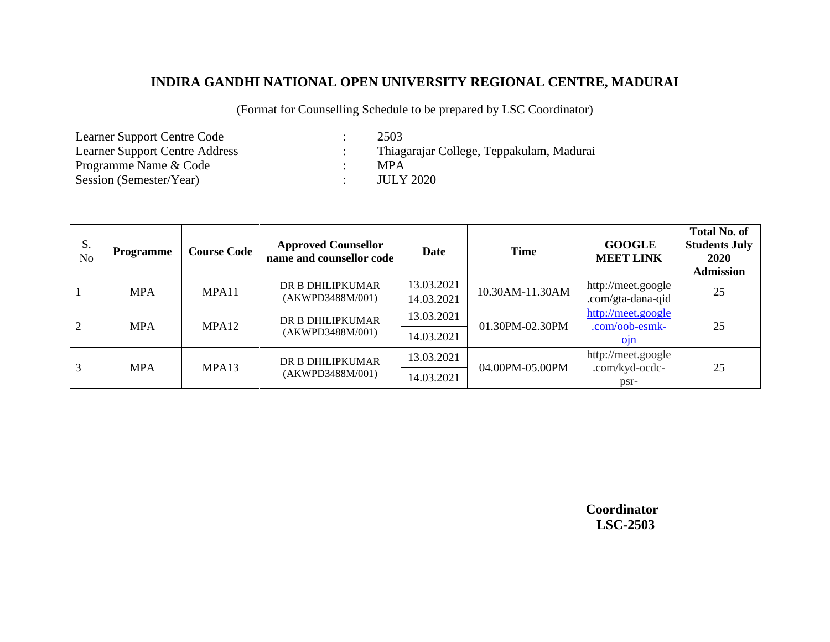(Format for Counselling Schedule to be prepared by LSC Coordinator)

Learner Support Centre Code : 2503<br>Learner Support Centre Address : Thiag Programme Name & Code : MPA Session (Semester/Year) : JULY 2020

: Thiagarajar College, Teppakulam, Madurai

| S.<br>N <sub>o</sub> | <b>Programme</b> | <b>Course Code</b> | <b>Approved Counsellor</b><br>name and counsellor code | Date                     | <b>Time</b>     | <b>GOOGLE</b><br><b>MEET LINK</b>       | <b>Total No. of</b><br><b>Students July</b><br>2020<br><b>Admission</b> |
|----------------------|------------------|--------------------|--------------------------------------------------------|--------------------------|-----------------|-----------------------------------------|-------------------------------------------------------------------------|
|                      | <b>MPA</b>       | MPA11              | DR B DHILIPKUMAR<br>(AKWPD3488M/001)                   | 13.03.2021<br>14.03.2021 | 10.30AM-11.30AM | http://meet.google<br>.com/gta-dana-qid | 25                                                                      |
| 2                    | <b>MPA</b>       | MPA <sub>12</sub>  | DR B DHILIPKUMAR<br>(AKWPD3488M/001)                   | 13.03.2021               | 01.30PM-02.30PM | http://meet.google<br>.com/oob-esmk-    | 25                                                                      |
|                      |                  |                    |                                                        | 14.03.2021               |                 | Q1n                                     |                                                                         |
| 3                    | <b>MPA</b>       | MPA13              | DR B DHILIPKUMAR                                       | 13.03.2021               | 04.00PM-05.00PM | http://meet.google                      |                                                                         |
|                      |                  |                    | (AKWPD3488M/001)                                       | 14.03.2021               |                 | .com/kyd-ocdc-<br>psr-                  | 25                                                                      |